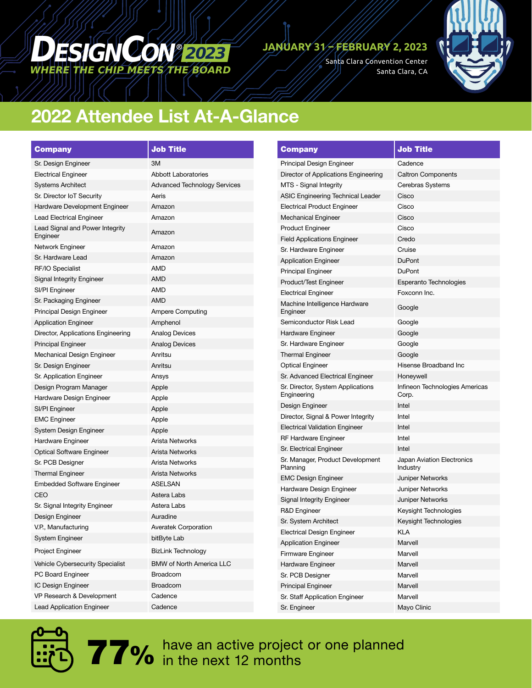## *WHERE THE CHIP MEETS THE BOARD DESIGNCON <sup>2023</sup>*

#### **JANUARY 31 – FEBRUARY 2, 2023**

Santa Clara Convention Center Santa Clara, CA



### 2022 Attendee List At-A-Glance

| <b>Company</b>                              | <b>Job Title</b>                    |  |
|---------------------------------------------|-------------------------------------|--|
| Sr. Design Engineer                         | 3M                                  |  |
| <b>Electrical Engineer</b>                  | <b>Abbott Laboratories</b>          |  |
| <b>Systems Architect</b>                    | <b>Advanced Technology Services</b> |  |
| Sr. Director IoT Security                   | Aeris                               |  |
| Hardware Development Engineer               | Amazon                              |  |
| Lead Electrical Engineer                    | Amazon                              |  |
| Lead Signal and Power Integrity<br>Engineer | Amazon                              |  |
| Network Engineer                            | Amazon                              |  |
| Sr. Hardware Lead                           | Amazon                              |  |
| RF/IO Specialist                            | AMD                                 |  |
| <b>Signal Integrity Engineer</b>            | AMD                                 |  |
| SI/PI Engineer                              | AMD                                 |  |
| Sr. Packaging Engineer                      | AMD                                 |  |
| Principal Design Engineer                   | <b>Ampere Computing</b>             |  |
| <b>Application Engineer</b>                 | Amphenol                            |  |
| Director, Applications Engineering          | <b>Analog Devices</b>               |  |
| <b>Principal Engineer</b>                   | <b>Analog Devices</b>               |  |
| Mechanical Design Engineer                  | Anritsu                             |  |
| Sr. Design Engineer                         | Anritsu                             |  |
| Sr. Application Engineer                    | Ansys                               |  |
| Design Program Manager                      | Apple                               |  |
| Hardware Design Engineer                    | Apple                               |  |
| SI/PI Engineer                              | Apple                               |  |
| <b>EMC Engineer</b>                         | Apple                               |  |
| System Design Engineer                      | Apple                               |  |
| Hardware Engineer                           | Arista Networks                     |  |
| <b>Optical Software Engineer</b>            | Arista Networks                     |  |
| Sr. PCB Designer                            | Arista Networks                     |  |
| <b>Thermal Engineer</b>                     | Arista Networks                     |  |
| <b>Embedded Software Engineer</b>           | <b>ASELSAN</b>                      |  |
| CEO                                         | Astera Labs                         |  |
| Sr. Signal Integrity Engineer               | Astera Labs                         |  |
| Design Engineer                             | Auradine                            |  |
| V.P., Manufacturing                         | <b>Averatek Corporation</b>         |  |
| System Engineer                             | bitByte Lab                         |  |
| Project Engineer                            | <b>BizLink Technology</b>           |  |
| Vehicle Cybersecurity Specialist            | <b>BMW of North America LLC</b>     |  |
| PC Board Engineer                           | <b>Broadcom</b>                     |  |
| IC Design Engineer                          | <b>Broadcom</b>                     |  |
| VP Research & Development                   | Cadence                             |  |
| <b>Lead Application Engineer</b>            | Cadence                             |  |

| <b>Company</b>                                   | <b>Job Title</b>                        |
|--------------------------------------------------|-----------------------------------------|
| Principal Design Engineer                        | Cadence                                 |
| Director of Applications Engineering             | <b>Caltron Components</b>               |
| MTS - Signal Integrity                           | Cerebras Systems                        |
| ASIC Engineering Technical Leader                | Cisco                                   |
| <b>Electrical Product Engineer</b>               | Cisco                                   |
| Mechanical Engineer                              | Cisco                                   |
| <b>Product Engineer</b>                          | Cisco                                   |
| <b>Field Applications Engineer</b>               | Credo                                   |
| Sr. Hardware Engineer                            | Cruise                                  |
| <b>Application Engineer</b>                      | <b>DuPont</b>                           |
| <b>Principal Engineer</b>                        | <b>DuPont</b>                           |
| Product/Test Engineer                            | <b>Esperanto Technologies</b>           |
| <b>Electrical Engineer</b>                       | Foxconn Inc.                            |
| Machine Intelligence Hardware<br>Engineer        | Google                                  |
| Semiconductor Risk Lead                          | Google                                  |
| Hardware Engineer                                | Google                                  |
| Sr. Hardware Engineer                            | Google                                  |
| <b>Thermal Engineer</b>                          | Google                                  |
| <b>Optical Engineer</b>                          | Hisense Broadband Inc                   |
| Sr. Advanced Electrical Engineer                 | Honeywell                               |
| Sr. Director, System Applications<br>Engineering | Infineon Technologies Americas<br>Corp. |
| Design Engineer                                  | Intel                                   |
| Director, Signal & Power Integrity               | Intel                                   |
| <b>Electrical Validation Engineer</b>            | Intel                                   |
| RF Hardware Engineer                             | Intel                                   |
| Sr. Electrical Engineer                          | Intel                                   |
| Sr. Manager, Product Development<br>Planning     | Japan Aviation Electronics<br>Industry  |
| <b>EMC Design Engineer</b>                       | <b>Juniper Networks</b>                 |
| Hardware Design Engineer                         | Juniper Networks                        |
| <b>Signal Integrity Engineer</b>                 | <b>Juniper Networks</b>                 |
| R&D Engineer                                     | Keysight Technologies                   |
| Sr. System Architect                             | Keysight Technologies                   |
| <b>Electrical Design Engineer</b>                | KLA                                     |
| <b>Application Engineer</b>                      | Marvell                                 |
| Firmware Engineer                                | Marvell                                 |
| Hardware Engineer                                | Marvell                                 |
| Sr. PCB Designer                                 | Marvell                                 |
| <b>Principal Engineer</b>                        | Marvell                                 |
| Sr. Staff Application Engineer                   | Marvell                                 |
| Sr. Engineer                                     | Mayo Clinic                             |



**77%** have an active project or one planned